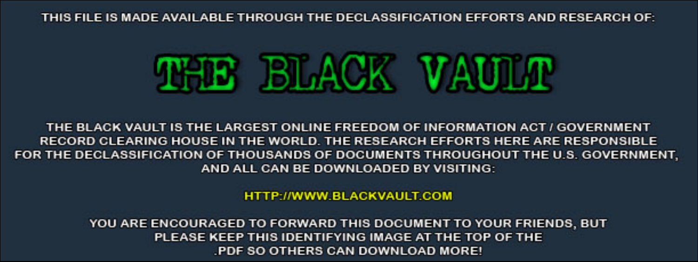THIS FILE IS MADE AVAILABLE THROUGH THE DECLASSIFICATION EFFORTS AND RESEARCH OF:



THE BLACK VAULT IS THE LARGEST ONLINE FREEDOM OF INFORMATION ACT / GOVERNMENT RECORD CLEARING HOUSE IN THE WORLD. THE RESEARCH EFFORTS HERE ARE RESPONSIBLE FOR THE DECLASSIFICATION OF THOUSANDS OF DOCUMENTS THROUGHOUT THE U.S. GOVERNMENT, AND ALL CAN BE DOWNLOADED BY VISITING:

**HTTP://WWW.BLACKVAULT.COM** 

YOU ARE ENCOURAGED TO FORWARD THIS DOCUMENT TO YOUR FRIENDS, BUT PLEASE KEEP THIS IDENTIFYING IMAGE AT THE TOP OF THE PDF SO OTHERS CAN DOWNLOAD MORE!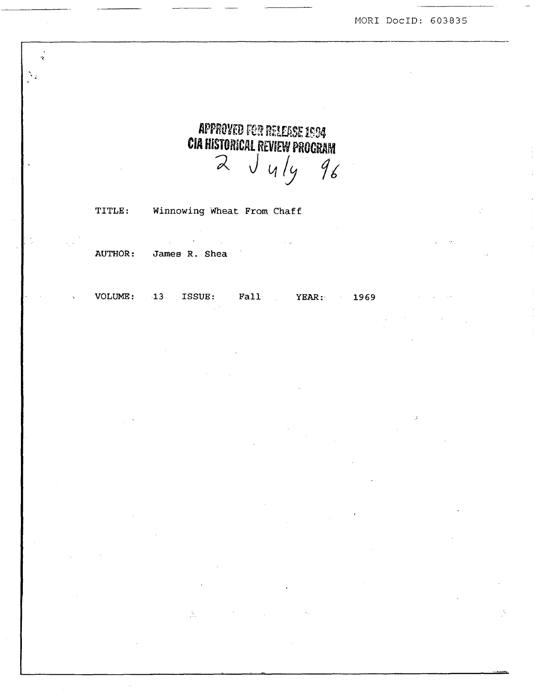MORI DocID: 603835

**APPROVED FOR RELEASE 1994 CIA HISTORICAL REVIEW PROCRAM**  $2 \text{ J }$  4/4 96

TITLE: Winnowing Wheat From Chaff

ISSUE:

 $\Delta^+$ 

 $\mathbb{R}^2$ 

AUTHOR: James R. Shea

 $-13$ 

VOLUME:

 $\ddot{\phantom{0}}$ 

 $\lambda_{\rm g}$ 

Fall YEAR: 1969

 $\sim$   $\sigma$ 

 $\mathcal{L}$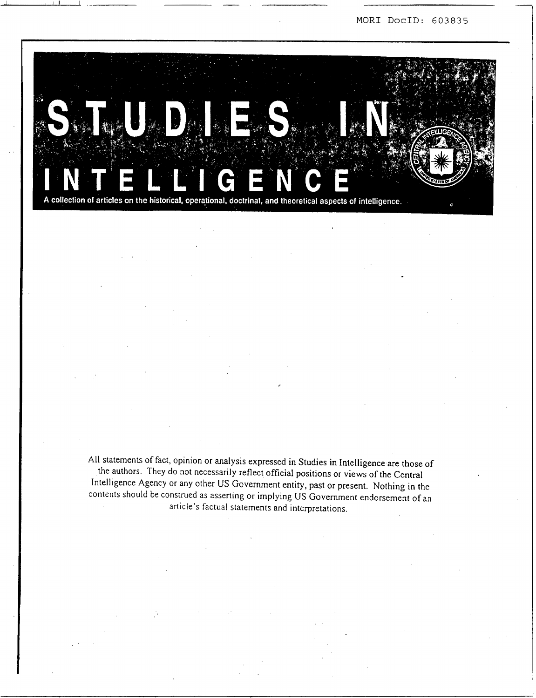MOR1 DOCID: *603835* 



-- -

All statements of fact, opinion or analysis expressed in Studies in Intelligence are those of the authors. They do not necessarily reflect official positions or views of the Central Intelligence Agency or any other US Government entity, past or present. Nothing in the contents should be construed as asserting or implying US Govenunent endorsement of an article's factual statements and interpretations.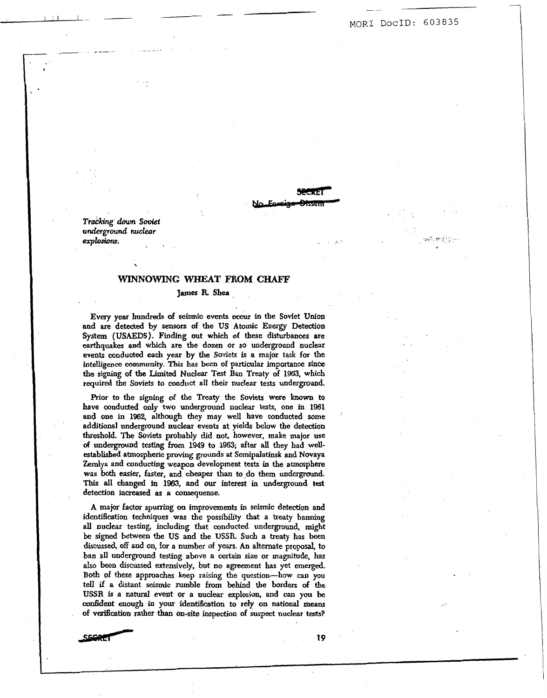MOR1 DOCID: *603835* 

- \_. -

*T?ack.ing* **down soviet**  underground nuclear *exploslonr.* . .. . .. .

 $\begin{array}{ccc} \hline \hline \hline \hline \hline \end{array}$ 

.-

\_\_\_. . . - . . .. . \_---.

### **WINNOWING WHEAT FROM CHAFF**

*c\_* 

### **James R Shea**

Every **year hundreds** of seismic events *occur* in the Soviet **Union**  and **are** detected by **sensors of** the **US** Atomic **Enexgy** Detection System **(USAEDS). Finding** out **which of** these disturbances are earthquakes and **which** are the dozen or **so** underground nuclear events conducted *each* year **by** the Soviets is **a** major task for **the**  intelligence **community.** This **has** beem **of particular** importance **since the** signing of the Limited Nuclear **Test** Ban Treaty of **1963, which required** the Soviets to conduct all their nuclear **tests** underground.

Prior to the **signing** of **the Treaty** the Soviets were **known** to have conducted **only** two underground nuclear tests, **one** in 1961 **and** one in 1962, **although** they may well have conducted some additional underground **nudear** events at yields below the detection threshold. The Soviets probably did not, however, make major use **of** underground testing from **1949 to 1963;** after **all** they had well**established** atmospheric **proving grounds** at Semipdatinsk and **Novaya**  Zemlya and conducting **weapon** development tests in the atmosphere **was both** easier, **faster,** and cheaper tban **to** do them underground. This **all changed** in **1963, and our** *interest* in undergound **test**  detection increased **as a** consequense.

A major factor spurring *on* improvements *in* seismic detection **and**  identitication techniques **was** the possibility **that** a treaty banning **all nuclear** testing, including that conducted underground, might be *signed* between the **US** and the **USSR. Such** a **treaty has been**  discussed, off and on, for a number of **yas. An** alternate proposal, to ban **all** underground teesting above a **certain** *size* or magnitude, **has**  *also* **been** discussed extensively, but **no** agreement **has** yet **emerged.**  Both **of these** approaches keep raising the question-how can you **tell** if **a distant** seismic rumble **from** behind the borders **of the USSR** is **a** natural event or **a nuclear explosion,** and **can you** be confident **enough** in your **identiscation** to rely **on** national **means**  of verification rather than on-site inspection of suspect nuclear tests?



*19*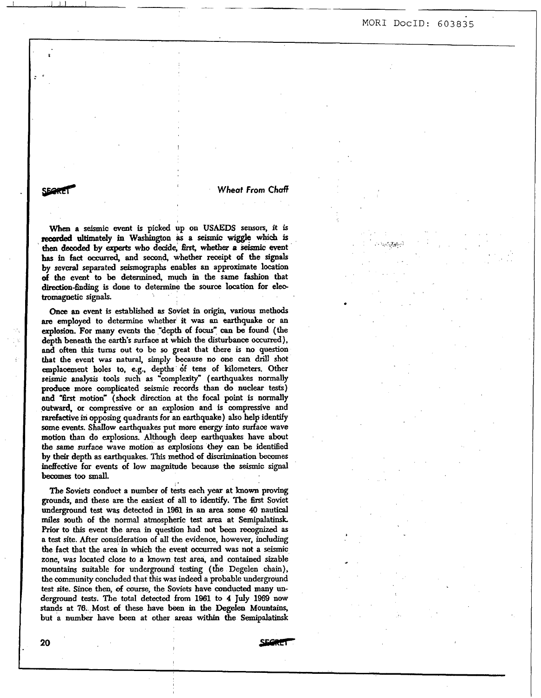# <sup>I</sup>ILI, I -- -~ MOR1 DocID: *603835*

**wheat From Chaff** *Wheat From Chaff* 

When a seismic event is picked up on USAEDS sensors, it is **reamied** ultimately in **Washington Q a seismic wiggle which is then** *dded* **by** *experts* who decide, *firss* whether *a seismic* event **bas** in **fact** *oocurred,* and second, whether receipt of the **signals**  by sevcral separated seismographs enables **an** approximate location **of** the event **to be** determined, **much** in the same fashion that direction-finding is done to determine the source location for electromagnetic signals.

*Once* **an** event **is** established **as** Soviet in origin, various methods **am employed to** determine whether it was **an** earthquake or **an explosion.** For many **events** the "depth of focus" *can* **be** found (the depth **beneath** the **earth's** surface at which **the disturbance** occurred), **and often this** turns out **to** be *so* great that there is **no** question that **the** event **was natural,** simply because no *one can* drill shot emplacement holes **to,** e.g., depths **6f** tens of kilometers. Other **seismic** analysis tools such **as** 'complexity" (earthquakes normally produce more complicated seismic **records** than **do** nuclear tests) and "first motion" (shock direction at the focal point is normally **outward,** or compressive or an explosion and is compressive and rarefadive in opposing quadrants for **an** earthquake) **also** help identify some events. Shallow earthquakes put more energy into surface wave **motion than** do **explosions.** Although deep earthquakes have about **the** same **surface** wave motion **as explosions** *they* **can** be identified **by their** depth **as** earthquakes. This method of discrimination becomes ineffective for events **of** low magnitude because the seismic **signal becomes** too **small.** 

The Soviets conduct a number of tests each year at known proving grounds, and these *are* the easiest **of** all to identify. The first Soviet underground test was detected in 1961 in **an arcxi** some **40** nautical **miles south** of the **normal** atmospheric test **area** at Semipalatinsk. Prior to this event the area in question had not been recognized as a test site. After consideration of all the evidence, however, including the fact that the *area* in **which** the event *occurred* **was not a** seismic zone, was located close to a **known** test **area,** and **contained** sizable mountains suitable for underground **testing** (the Degelen **chain),**  the community concluded that this was indeed **a** probable underground test site. Since then, of course, the Soviets have conducted many underground **tests. The** total detected from **1961** to **4** July **1969 now stands** at **76. Most** *of* these have **been** in the Degelen Mountains, but a **number** have been at other **areas within** the **Semipalatinsk** 

I

20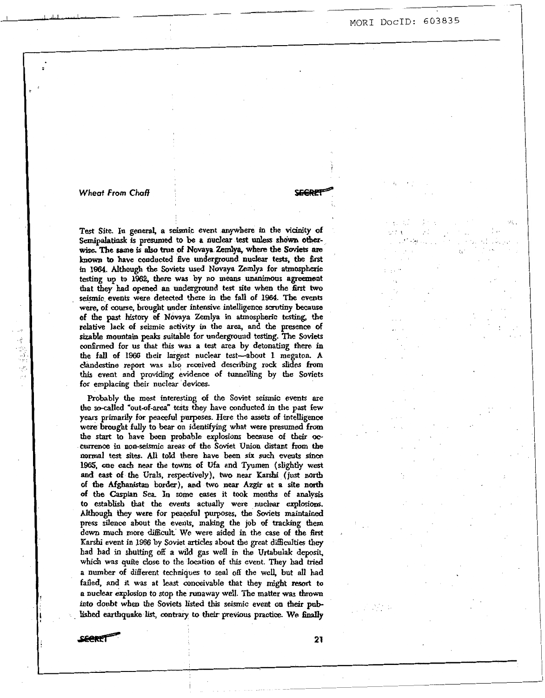# I 1 *hw,.* ,,I , - MOR1 **DOCID:** *603835*

.I

#### *Wheof From Chaff*

**CEGRER** 

- \_-- -

**Test** Site. **In** general, a seismic event anywhere in the vicinity of Semipalatinsk **is presumed** to **be a nuclear test onless shown other**wise. The same is also true of Novaya Zemlya, where the Soviets are **known to** have conducted five underground nuclear tests, the **first**  in 1964. Although the Soviets used Novaya Zemlya for atmospheric<br>testing up to 1962, there was by no means unanimous agreement that they had opened an underground test site when the first two seismic events were detected there in the fall of 1964. The events were, of course, brought under intensive intelligence scrutiny because of the past history of Novaya Zemlya in atmospheric testing, the relative Iack of seismic activity in the **area,** and the presence of **sizable** mountain **peaks** suitable for underground testing. The **Soviets cou6rmed** for **us** that this was a test area by detonating there in the fall of **1966** their largest nuclear test-about **1** megaton. A clandestine report **was also** received describing rock slides **from this** event and providing evidence of tunnelling by the Soviets for emplacing their nuclear devices.

Probably the **most** interesting of the Soviet seismic events are the socalled "out-of-area" tests they have conducted in the past few *years* primarily for **peacehl** purposes. Here the *assets* of intelligence were brought fully to bear on identifying what were presumed from the **start** to have **been** probable explosions **because** of their *00*  **currence** in non-seismic **areas** *of* the Soviet **Union distant from** the normal test sites. *AU* told there have been *six such* events since **1965,** one *each* near the **towns** of Ufa and Tyumen (slightly **west and** *east* of *the* **Urals,** respectively), *two* near Karshi (just **north**  of the Afghanistan border), **and** two near *Azgir* at a site north of tbe *Caspian* **Sea.** In some cases it took **months** of **analysis**  to establish that the events actually were nuclear explosions. Although **they** were for peaceful **purposes,** the Soviets **maintained**  press silence about the events, **making** the job of **tracking** them down much more difficult. We were aided in the case of the first **Karshi** event in 1966 by Soviet **articles** about the great **difficulties they**  had bad in sbutting **off** *a* wild **gas** we11 in the **Urtabdak** deposit, **which** was quite close to the location of this event. They had *tried <sup>a</sup>*number of different techniques to **seal off** the well, but all had failed, and it **was** at least conceivable that they might resort to a **nuclear** explosion to stop the runaway well. The matter was **thrown**  into doubt when the Soviets listed **this** seismic event **on** their published earthquake list, contrary to their previous practice. We finally

**SECRE®** 

**21**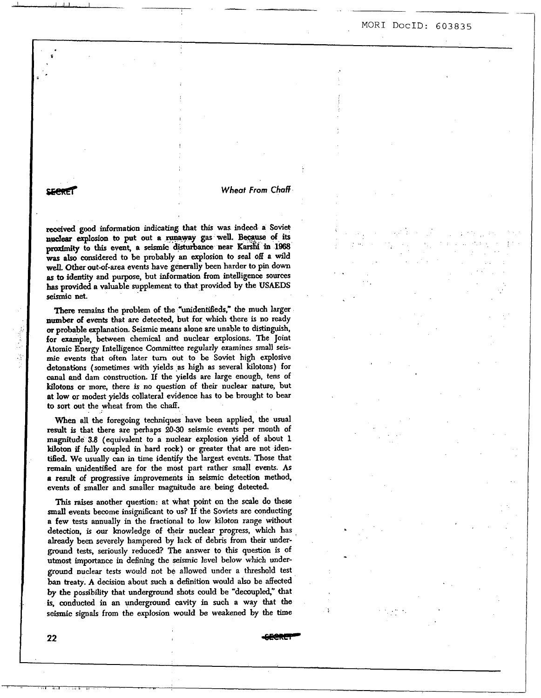# 1 -- -- MOR1 **DOCID:** *603835*

#### **SERRET**

I I/Ij.l. I

*0* 

## *Wheat From* Chaff

&ved **good** information *indicating* that **this** was indeed **a** Sovie\* nuclear explosion to put out a runaway gas well. Because of its proximity to this event, a seismic disturbance near Karshi in 1968 **was atso** considered to be probably **an** explosion **to seal** off a wild well. Other out-of-area events have generally been harder to pin down as to identity and purpose, but information from intelligence sources **bas** provided a valuable supplement **to** that provided by the **USAEDS seismic net.** 

There remains the problem of the "unidentifleds," the **much larger number of events** that *are* detected, but for wbich there is **no** ready *of* probable explanation. Seismic **means** alone are unable to **distinguish,**  for example, between chemical and nuclear explosions. **The** Joint Atomic Energy Intelligence Committee regularly examines small **seismic** events that **often** later turn out to **be** Soviet high explosive detonations (sometimes with yields **as** high as several kilotons) for canal and dam construction. If the yields are large enougb, tens of **kilotons** or more, there is *no* question of their nuclear nature, but at **low** or modest yields collateral evidence **has** to be brought to bear *to* **sort** out **the** wheat from the **chaff.** 

**When** all the foregoing techniques have been applied, the usual result is that there are perhaps **20-30** seismic events per month of magnitude 3.8 (equivalent to a nuclear explosion yield of about 1 kiloton *if* **fully** coupled in hard rock) or greater that **are** not iden**tified.** We usually can in time identify the largest events. **Those** that **remain** unidentified are for the most part **rather small** events. **AS a** *result* of progressive improvements in seismic detection method, events of smaller **and** smaller magnitude are being detected.

This **raises** another question: at what point on the scale do these small events become insignificant to us? If the Soviets are conducting **a** few tests annudly in the fractional **to low** kiloton range **without**  detection, is our knowledge of their nuclear progress, which has **already** been severely hampered by lack of debris **from** their underground **tests,** seriously reduced? The answer to this question is of **utmost** importance in defining the seismic level below which underground nuclear tests would not be allowed under a threshold test ban **treaty.** A decision about **such a** definition would also be affected **by** the possibility that underground **shots** could be "dewupled," that **is,** conducted in **an** underground caviv in such a way that **the seismic** signals from the explosion would be weakened by the **time** 

**22** *e?@M?F*